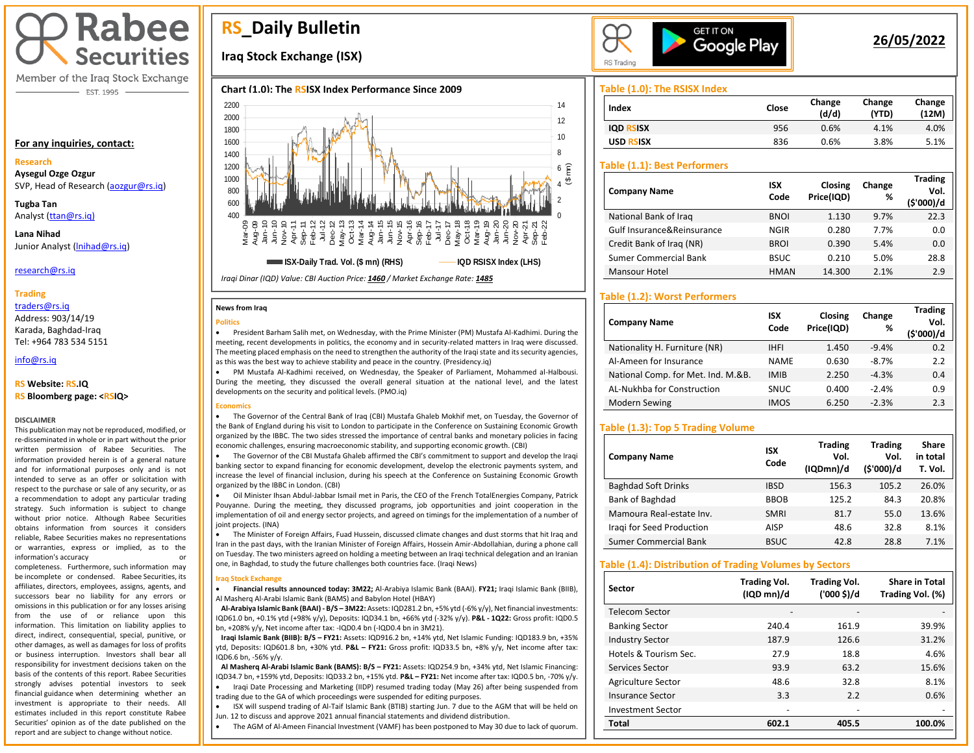# **Rabee Securities**

Member of the Iraq Stock Exchange - EST. 1995

### **For any inquiries, contact:**

#### **Research**

**Aysegul Ozge Ozgur**  SVP, Head of Research [\(aozgur@rs.iq\)](mailto:aozgur@rs.iq)

**Tugba Tan** Analyst [\(ttan@rs.iq\)](mailto:ttan@rs.iq)

**Lana Nihad** Junior Analyst [\(lnihad@rs.iq\)](mailto:lnihad@rs.iq)

research@rs.iq

### **Trading**

traders@rs.iq

Address: 903/14/19 Karada, Baghdad-Iraq Tel: +964 783 534 5151

info@rs.iq İ

### **RS Website: RS.IQ**

#### **RS Bloomberg page: <RSIQ>**

#### **DISCLAIMER**

This publication may not be reproduced, modified, or re-disseminated in whole or in part without the prior written permission of Rabee Securities. The information provided herein is of a general nature and for informational purposes only and is not intended to serve as an offer or solicitation with respect to the purchase or sale of any security, or as a recommendation to adopt any particular trading strategy. Such information is subject to change without prior notice. Although Rabee Securities obtains information from sources it considers reliable, Rabee Securities makes no representations or warranties, express or implied, as to the information's accuracy

completeness. Furthermore, such information may be incomplete or condensed. Rabee Securities, its affiliates, directors, employees, assigns, agents, and successors bear no liability for any errors or omissions in this publication or for any losses arising from the use of or reliance upon this information. This limitation on liability applies to direct, indirect, consequential, special, punitive, or other damages, as well as damages for loss of profits or business interruption. Investors shall bear all responsibility for investment decisions taken on the basis of the contents of this report. Rabee Securities strongly advises potential investors to seek financial guidance when determining whether an investment is appropriate to their needs. All estimates included in this report constitute Rabee Securities' opinion as of the date published on the report and are subject to change without notice.

# **RS\_Daily Bulletin**

## **Iraq Stock Exchange (ISX)**

## **Chart (1.0): The RSISX Index Performance Since 2009**



*Iraqi Dinar (IQD) Value: CBI Auction Price: 1460 / Market Exchange Rate: 1485*

#### **News from Iraq**

#### **Politics**



• PM Mustafa Al-Kadhimi received, on Wednesday, the Speaker of Parliament, Mohammed al-Halbousi. During the meeting, they discussed the overall general situation at the national level, and the latest developments on the security and political levels. (PMO.iq)

#### **Economics**

• The Governor of the Central Bank of Iraq (CBI) Mustafa Ghaleb Mokhif met, on Tuesday, the Governor of the Bank of England during his visit to London to participate in the Conference on Sustaining Economic Growth organized by the IBBC. The two sides stressed the importance of central banks and monetary policies in facing economic challenges, ensuring macroeconomic stability, and supporting economic growth. (CBI)

• The Governor of the CBI Mustafa Ghaleb affirmed the CBI's commitment to support and develop the Iraqi banking sector to expand financing for economic development, develop the electronic payments system, and increase the level of financial inclusion, during his speech at the Conference on Sustaining Economic Growth organized by the IBBC in London. (CBI)

• Oil Minister Ihsan Abdul-Jabbar Ismail met in Paris, the CEO of the French TotalEnergies Company, Patrick Pouyanne. During the meeting, they discussed programs, job opportunities and joint cooperation in the implementation of oil and energy sector projects, and agreed on timings for the implementation of a number of joint projects. (INA)

• The Minister of Foreign Affairs, Fuad Hussein, discussed climate changes and dust storms that hit Iraq and Iran in the past days, with the Iranian Minister of Foreign Affairs, Hossein Amir-Abdollahian, during a phone call on Tuesday. The two ministers agreed on holding a meeting between an Iraqi technical delegation and an Iranian one, in Baghdad, to study the future challenges both countries face. (Iraqi News)

#### **Iraq Stock Exchange**

 $\overline{\phantom{a}}$ 

• **Financial results announced today: 3M22;** Al-Arabiya Islamic Bank (BAAI). **FY21;** Iraqi Islamic Bank (BIIB), Al Masherq Al-Arabi Islamic Bank (BAMS) and Babylon Hotel (HBAY)

 **Al-Arabiya Islamic Bank (BAAI) - B/S – 3M22:** Assets: IQD281.2 bn, +5% ytd (-6% y/y), Net financial investments: IQD61.0 bn, +0.1% ytd (+98% y/y), Deposits: IQD34.1 bn, +66% ytd (-32% y/y). **P&L - 1Q22:** Gross profit: IQD0.5 bn, +208% y/y, Net income after tax: -IQD0.4 bn (-IQD0.4 bn in 3M21).

 **Iraqi Islamic Bank (BIIB): B/S – FY21:** Assets: IQD916.2 bn, +14% ytd, Net Islamic Funding: IQD183.9 bn, +35% ytd, Deposits: IQD601.8 bn, +30% ytd. **P&L – FY21:** Gross profit: IQD33.5 bn, +8% y/y, Net income after tax: IQD6.6 bn, -56% y/y.

**Al Masherq Al-Arabi Islamic Bank (BAMS): B/S – FY21:** Assets: IQD254.9 bn, +34% ytd, Net Islamic Financing:

IQD34.7 bn, +159% ytd, Deposits: IQD33.2 bn, +15% ytd. **P&L – FY21:** Net income after tax: IQD0.5 bn, -70% y/y. • Iraqi Date Processing and Marketing (IIDP) resumed trading today (May 26) after being suspended from

trading due to the GA of which proceedings were suspended for editing purposes. • ISX will suspend trading of Al-Taif Islamic Bank (BTIB) starting Jun. 7 due to the AGM that will be held on

Jun. 12 to discuss and approve 2021 annual financial statements and dividend distribution.

• The AGM of Al-Ameen Financial Investment (VAMF) has been postponed to May 30 due to lack of quorum.



## **26/05/2022**

**Trading** 

## **Table (1.0): The RSISX Index**

| Index            | Close | Change<br>(d/d) | Change<br>(YTD) | Change<br>(12M) |
|------------------|-------|-----------------|-----------------|-----------------|
| <b>IOD RSISX</b> | 956   | 0.6%            | 4.1%            | 4.0%            |
| USD RSISX        | 836   | 0.6%            | 3.8%            | 5.1%            |

## **Table (1.1): Best Performers**

| <b>Company Name</b>        | <b>ISX</b><br>Code | Closing<br>Price(IQD) | Change<br>% | <b>Trading</b><br>Vol.<br>(\$'000)/d |
|----------------------------|--------------------|-----------------------|-------------|--------------------------------------|
| National Bank of Iraq      | <b>BNOI</b>        | 1.130                 | 9.7%        | 22.3                                 |
| Gulf Insurance&Reinsurance | <b>NGIR</b>        | 0.280                 | 7.7%        | 0.0                                  |
| Credit Bank of Iraq (NR)   | <b>BROI</b>        | 0.390                 | 5.4%        | 0.0                                  |
| Sumer Commercial Bank      | <b>BSUC</b>        | 0.210                 | 5.0%        | 28.8                                 |
| Mansour Hotel              | <b>HMAN</b>        | 14.300                | 2.1%        | 2.9                                  |

## **Table (1.2): Worst Performers**

| <b>Company Name</b>                | <b>ISX</b><br>Code | Closing<br>Price(IQD) | Change<br>% | Trading<br>Vol.<br>(\$'000)/d |
|------------------------------------|--------------------|-----------------------|-------------|-------------------------------|
| Nationality H. Furniture (NR)      | <b>IHFI</b>        | 1.450                 | $-9.4%$     | 0.2                           |
| Al-Ameen for Insurance             | <b>NAME</b>        | 0.630                 | $-8.7%$     | 2.2                           |
| National Comp. for Met. Ind. M.&B. | <b>IMIB</b>        | 2.250                 | $-4.3%$     | 0.4                           |
| AL-Nukhba for Construction         | <b>SNUC</b>        | 0.400                 | $-2.4%$     | 0.9                           |
| Modern Sewing                      | <b>IMOS</b>        | 6.250                 | $-2.3%$     | 2.3                           |

## **Table (1.3): Top 5 Trading Volume**

| <b>Company Name</b>          | <b>ISX</b><br>Code | <b>Trading</b><br>Vol.<br>(IQDmn)/d | <b>Trading</b><br>Vol.<br>(\$'000)/d | Share<br>in total<br>T. Vol. |
|------------------------------|--------------------|-------------------------------------|--------------------------------------|------------------------------|
| <b>Baghdad Soft Drinks</b>   | <b>IBSD</b>        | 156.3                               | 105.2                                | 26.0%                        |
| Bank of Baghdad              | <b>BBOB</b>        | 125.2                               | 84.3                                 | 20.8%                        |
| Mamoura Real-estate Inv.     | <b>SMRI</b>        | 81.7                                | 55.0                                 | 13.6%                        |
| Iragi for Seed Production    | <b>AISP</b>        | 48.6                                | 32.8                                 | 8.1%                         |
| <b>Sumer Commercial Bank</b> | <b>BSUC</b>        | 42.8                                | 28.8                                 | 7.1%                         |

### **Table (1.4): Distribution of Trading Volumes by Sectors**

| Sector                   | <b>Trading Vol.</b><br>(IQD mn)/d | <b>Trading Vol.</b><br>('000 \$)/d | <b>Share in Total</b><br>Trading Vol. (%) |
|--------------------------|-----------------------------------|------------------------------------|-------------------------------------------|
| Telecom Sector           |                                   |                                    |                                           |
| <b>Banking Sector</b>    | 240.4                             | 161.9                              | 39.9%                                     |
| <b>Industry Sector</b>   | 187.9                             | 126.6                              | 31.2%                                     |
| Hotels & Tourism Sec.    | 27.9                              | 18.8                               | 4.6%                                      |
| Services Sector          | 93.9                              | 63.2                               | 15.6%                                     |
| Agriculture Sector       | 48.6                              | 32.8                               | 8.1%                                      |
| Insurance Sector         | 3.3                               | 2.2                                | 0.6%                                      |
| <b>Investment Sector</b> | -                                 |                                    |                                           |
| <b>Total</b>             | 602.1                             | 405.5                              | 100.0%                                    |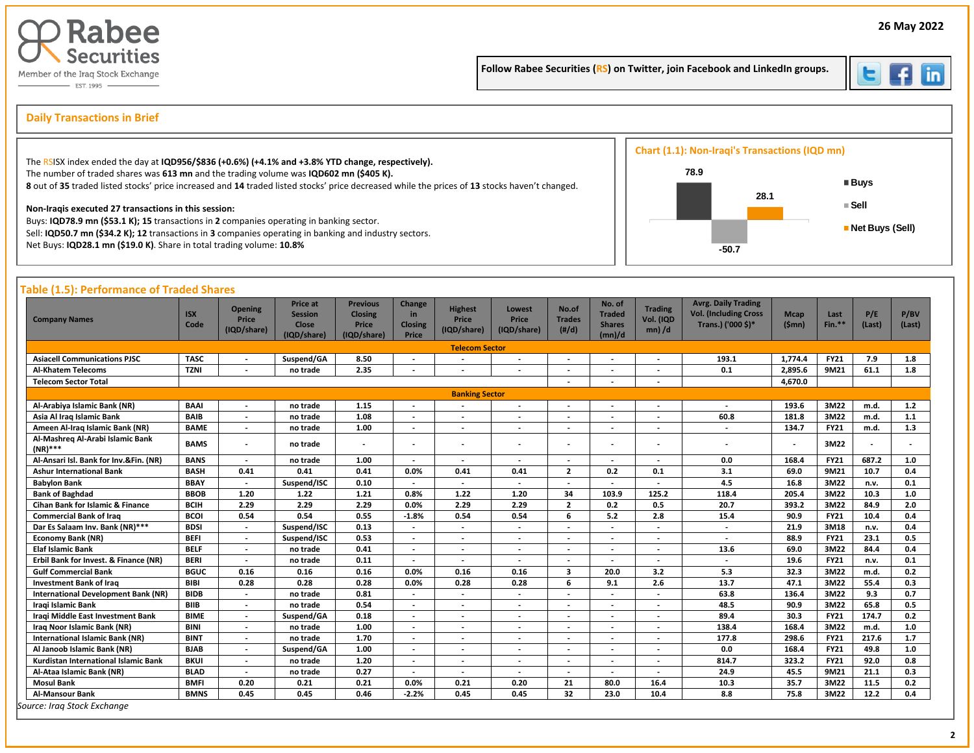

Follow Rabee Securities (RS) on Twitter, join Facebook and LinkedIn groups.



İ

#### s and the Daily Transactions in Brief (Section 2018) and the second section of the second section of the second section of the second section of the second section of the second section of the second section of the second **Daily Transactions in Brief**

|                                                                                                                                                                                                                                                                                                                                              | <b>Chart (1.1): Non-Iraqi's Transactions (IQD mn)</b> |  |                             |
|----------------------------------------------------------------------------------------------------------------------------------------------------------------------------------------------------------------------------------------------------------------------------------------------------------------------------------------------|-------------------------------------------------------|--|-----------------------------|
| The RSISX index ended the day at IQD956/\$836 (+0.6%) (+4.1% and +3.8% YTD change, respectively).<br>The number of traded shares was 613 mn and the trading volume was IQD602 mn (\$405 K).<br>8 out of 35 traded listed stocks' price increased and 14 traded listed stocks' price decreased while the prices of 13 stocks haven't changed. | 78.9<br>28.1                                          |  | ■ Buys                      |
| Non-Iragis executed 27 transactions in this session:<br>Buys: IQD78.9 mn (\$53.1 K); 15 transactions in 2 companies operating in banking sector.<br>Sell: IQD50.7 mn (\$34.2 K); 12 transactions in 3 companies operating in banking and industry sectors.<br>Net Buys: IQD28.1 mn (\$19.0 K). Share in total trading volume: 10.8%          | -50.7                                                 |  | ∎ Sell<br>■ Net Buys (Sell) |

#### **Table (1.5): Performance of Traded Shares Company Names ISX Code Opening Price (IQD/share) Price at Session Close (IQD/share) Previous Closing Price (IQD/share) Change in Closing Price Highest Price (IQD/share) Lowest Price (IQD/share) No.of Trades (#/d) No. of Traded Shares (mn)/d Trading Vol. (IQD mn) /d Avrg. Daily Trading Vol. (Including Cross Trans.) ('000 \$)\* Mcap (\$mn) Last Fin.\*\* P/E (Last) P/BV (Last) Telecom Sector Asiacell Communications PJSC TASC - Suspend/GA 8.50 - - - - - - 193.1 1,774.4 FY21 7.9 1.8 Al-Khatem Telecoms TZNI - no trade 2.35 - - - - - - 0.1 2,895.6 9M21 61.1 1.8 Telecom Sector Total - - - 4,670.0 Banking Sector Al-Arabiya Islamic Bank (NR) BAAI - no trade 1.15 - - - - - - - 193.6 3M22 m.d. 1.2 Asia Al Iraq Islamic Bank BAIB - no trade 1.08 - - - - - - 60.8 181.8 3M22 m.d. 1.1 Ameen Al-Iraq Islamic Bank (NR) BAME - no trade 1.00 - - - - - - - 134.7 FY21 m.d. 1.3 Al-Mashreq Al-Arabi Islamic Bank (NR)\*\*\* BAMS - no trade - - - - - - - - - 3M22 - - Al-Ansari Isl. Bank for Inv.&Fin. (NR) BANS - no trade 1.00 - - - - - - 0.0 168.4 FY21 687.2 1.0 Ashur International Bank BASH 0.41 0.41 0.41 0.0% 0.41 0.41 2 0.2 0.1 3.1 69.0 9M21 10.7 0.4 Babylon Bank BBAY - Suspend/ISC 0.10 - - - - - - 4.5 16.8 3M22 n.v. 0.1 Bank of Baghdad BBOB 1.20 1.22 1.21 0.8% 1.22 1.20 34 103.9 125.2 118.4 205.4 3M22 10.3 1.0 Cihan Bank for Islamic & Finance BCIH 2.29 2.29 2.29 0.0% 2.29 2.29 2 0.2 0.5 20.7 393.2 3M22 84.9 2.0 Commercial Bank of Iraq BCOI 0.54 0.54 0.55 -1.8% 0.54 0.54 6 5.2 2.8 15.4 90.9 FY21 10.4 0.4 Dar Es Salaam Inv. Bank (NR)\*\*\* BDSI - Suspend/ISC 0.13 - - - - - - - 21.9 3M18 n.v. 0.4 Economy Bank (NR) BEFI - Suspend/ISC 0.53 - - - - - - - 88.9 FY21 23.1 0.5 Elaf Islamic Bank BELF - no trade 0.41 - - - - - - 13.6 69.0 3M22 84.4 0.4 Erbil Bank for Invest. & Finance (NR) BERI - no trade 0.11 - - - - - - - 19.6 FY21 n.v. 0.1 Gulf Commercial Bank BGUC 0.16 0.16 0.16 0.0% 0.16 0.16 3 20.0 3.2 5.3 32.3 3M22 m.d. 0.2 Investment Bank of Iraq BIBI 0.28 0.28 0.28 0.0% 0.28 0.28 6 9.1 2.6 13.7 47.1 3M22 55.4 0.3 International Development Bank (NR) BIDB - no trade 0.81 - - - - - - 63.8 136.4 3M22 9.3 0.7 Iraqi Islamic Bank BIIB - no trade 0.54 - - - - - - 48.5 90.9 3M22 65.8 0.5 Iraqi Middle East Investment Bank BIME - Suspend/GA 0.18 - - - - - - 89.4 30.3 FY21 174.7 0.2 Iraq Noor Islamic Bank (NR) BINI - no trade 1.00 - - - - - - 138.4 168.4 3M22 m.d. 1.0 International Islamic Bank (NR) BINT - no trade 1.70 - - - - - - 177.8 298.6 FY21 217.6 1.7 Al Janoob Islamic Bank (NR) BJAB - Suspend/GA 1.00 - - - - - - 0.0 168.4 FY21 49.8 1.0 Kurdistan International Islamic Bank BKUI - no trade 1.20 - - - - - - 814.7 323.2 FY21 92.0 0.8 Al-Ataa Islamic Bank (NR) BLAD - no trade 0.27 - - - - - - 24.9 45.5 9M21 21.1 0.3 Mosul Bank BMFI 0.20 0.21 0.21 0.0% 0.21 0.20 21 80.0 16.4 10.3 35.7 3M22 11.5 0.2 Al-Mansour Bank BMNS 0.45 0.45 0.46 -2.2% 0.45 0.45 32 23.0 10.4 8.8 75.8 3M22 12.2 0.4** *Source: Iraq Stock Exchange*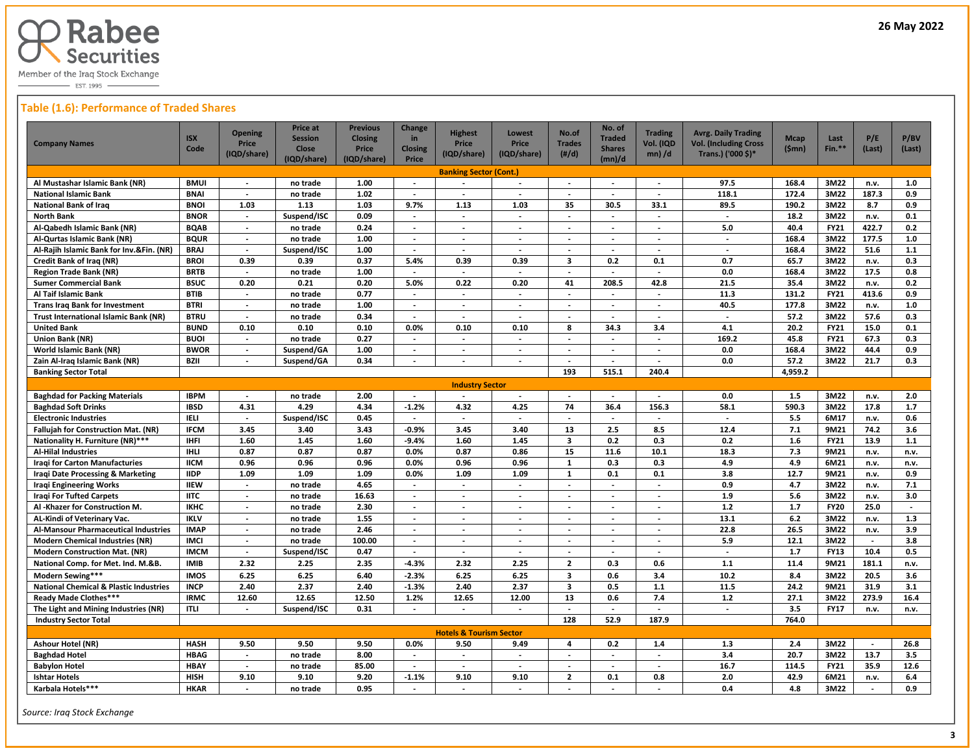

 $-$  EST. 1995  $-$ 

## **Table (1.6): Performance of Traded Shares**

| <b>Company Names</b>                              | <b>ISX</b><br>Code | <b>Opening</b><br>Price<br>(IQD/share) | <b>Price at</b><br><b>Session</b><br><b>Close</b> | <b>Previous</b><br><b>Closing</b><br><b>Price</b> | Change<br>in<br><b>Closing</b> | <b>Highest</b><br>Price<br>(IQD/share) | <b>Lowest</b><br>Price<br>(IQD/share) | No.of<br><b>Trades</b><br>$(\#/d)$ | No. of<br><b>Traded</b><br><b>Shares</b> | <b>Trading</b><br>Vol. (IQD<br>$mn)$ /d | <b>Avrg. Daily Trading</b><br><b>Vol. (Including Cross</b><br>Trans.) ('000 \$)* | <b>Mcap</b><br>(Smn) | Last<br>$Fin.**$ | P/E<br>(Last)            | P/BV<br>(Last) |
|---------------------------------------------------|--------------------|----------------------------------------|---------------------------------------------------|---------------------------------------------------|--------------------------------|----------------------------------------|---------------------------------------|------------------------------------|------------------------------------------|-----------------------------------------|----------------------------------------------------------------------------------|----------------------|------------------|--------------------------|----------------|
|                                                   |                    |                                        | (IQD/share)                                       | (IQD/share)                                       | Price                          |                                        |                                       |                                    | (mn)/d                                   |                                         |                                                                                  |                      |                  |                          |                |
| Al Mustashar Islamic Bank (NR)                    | <b>BMUI</b>        |                                        | no trade                                          | 1.00                                              | $\overline{\phantom{a}}$       | <b>Banking Sector (Cont.)</b>          |                                       |                                    |                                          | $\overline{\phantom{a}}$                | 97.5                                                                             | 168.4                | 3M22             | n.v.                     | 1.0            |
| <b>National Islamic Bank</b>                      | <b>BNAI</b>        | $\overline{a}$                         | no trade                                          | 1.02                                              | $\overline{\phantom{a}}$       |                                        |                                       |                                    |                                          | $\overline{\phantom{a}}$                | 118.1                                                                            | 172.4                | 3M22             | 187.3                    | 0.9            |
| National Bank of Iraq                             | <b>BNOI</b>        | 1.03                                   | 1.13                                              | 1.03                                              | 9.7%                           | 1.13                                   | 1.03                                  | 35                                 | 30.5                                     | 33.1                                    | 89.5                                                                             | 190.2                | 3M22             | 8.7                      | 0.9            |
| North Bank                                        | <b>BNOR</b>        | $\overline{\phantom{a}}$               | Suspend/ISC                                       | 0.09                                              | $\sim$                         | $\overline{\phantom{a}}$               | $\overline{\phantom{a}}$              | $\overline{\phantom{a}}$           | $\overline{\phantom{a}}$                 | $\overline{\phantom{a}}$                | $\sim$                                                                           | 18.2                 | 3M22             | n.v.                     | 0.1            |
| Al-Qabedh Islamic Bank (NR)                       | <b>BQAB</b>        | $\overline{\phantom{a}}$               | no trade                                          | 0.24                                              | $\blacksquare$                 | $\blacksquare$                         | $\overline{\phantom{a}}$              | $\overline{\phantom{a}}$           | $\sim$                                   | $\overline{\phantom{a}}$                | 5.0                                                                              | 40.4                 | <b>FY21</b>      | 422.7                    | 0.2            |
| Al-Qurtas Islamic Bank (NR)                       | <b>BQUR</b>        | $\overline{\phantom{a}}$               | no trade                                          | 1.00                                              | $\overline{\phantom{a}}$       | $\overline{\phantom{a}}$               | $\overline{\phantom{a}}$              | $\overline{\phantom{a}}$           | $\overline{\phantom{a}}$                 | $\overline{\phantom{a}}$                | $\sim$                                                                           | 168.4                | 3M22             | 177.5                    | 1.0            |
| Al-Rajih Islamic Bank for Inv.&Fin. (NR)          | <b>BRAJ</b>        | $\overline{\phantom{a}}$               | Suspend/ISC                                       | 1.00                                              | $\overline{\phantom{a}}$       | $\overline{\phantom{a}}$               | $\overline{\phantom{a}}$              | $\overline{\phantom{a}}$           | $\overline{\phantom{a}}$                 | $\overline{\phantom{a}}$                | $\overline{\phantom{a}}$                                                         | 168.4                | 3M22             | 51.6                     | $1.1$          |
| Credit Bank of Iraq (NR)                          | <b>BROI</b>        | 0.39                                   | 0.39                                              | 0.37                                              | 5.4%                           | 0.39                                   | 0.39                                  | $\overline{\mathbf{3}}$            | 0.2                                      | 0.1                                     | 0.7                                                                              | 65.7                 | 3M22             | n.v.                     | 0.3            |
| <b>Region Trade Bank (NR)</b>                     | <b>BRTB</b>        | $\blacksquare$                         | no trade                                          | 1.00                                              | $\blacksquare$                 | $\overline{\phantom{a}}$               | $\overline{\phantom{a}}$              | $\overline{\phantom{a}}$           | $\blacksquare$                           | $\blacksquare$                          | 0.0                                                                              | 168.4                | 3M22             | 17.5                     | 0.8            |
| <b>Sumer Commercial Bank</b>                      | <b>BSUC</b>        | 0.20                                   | 0.21                                              | 0.20                                              | 5.0%                           | 0.22                                   | 0.20                                  | 41                                 | 208.5                                    | 42.8                                    | 21.5                                                                             | 35.4                 | 3M22             | n.v.                     | 0.2            |
| Al Taif Islamic Bank                              | <b>BTIB</b>        | $\blacksquare$                         | no trade                                          | 0.77                                              |                                |                                        | $\overline{\phantom{a}}$              |                                    |                                          |                                         | 11.3                                                                             | 131.2                | <b>FY21</b>      | 413.6                    | 0.9            |
| <b>Trans Irag Bank for Investment</b>             | <b>BTRI</b>        | $\overline{\phantom{a}}$               | no trade                                          | 1.00                                              | $\sim$                         | $\sim$                                 | $\sim$                                | $\sim$                             | $\mathcal{L}$                            | $\overline{a}$                          | 40.5                                                                             | 177.8                | 3M22             | n.v.                     | 1.0            |
| Trust International Islamic Bank (NR)             | <b>BTRU</b>        | $\overline{\phantom{a}}$               | no trade                                          | 0.34                                              | $\overline{\phantom{a}}$       | $\overline{\phantom{a}}$               | $\overline{\phantom{a}}$              | $\overline{\phantom{a}}$           | $\overline{\phantom{a}}$                 | $\overline{\phantom{a}}$                | $\sim$                                                                           | 57.2                 | 3M22             | 57.6                     | 0.3            |
| <b>United Bank</b>                                | <b>BUND</b>        | 0.10                                   | 0.10                                              | 0.10                                              | 0.0%                           | 0.10                                   | 0.10                                  | 8                                  | 34.3                                     | 3.4                                     | 4.1                                                                              | 20.2                 | <b>FY21</b>      | 15.0                     | 0.1            |
| Union Bank (NR)                                   | <b>BUOI</b>        | $\overline{\phantom{a}}$               | no trade                                          | 0.27                                              | $\overline{\phantom{a}}$       | $\overline{\phantom{a}}$               | $\overline{\phantom{a}}$              | $\overline{\phantom{a}}$           | $\overline{\phantom{a}}$                 | $\overline{\phantom{a}}$                | 169.2                                                                            | 45.8                 | <b>FY21</b>      | 67.3                     | 0.3            |
| World Islamic Bank (NR)                           | <b>BWOR</b>        | $\overline{\phantom{a}}$               | Suspend/GA                                        | 1.00                                              | $\overline{\phantom{a}}$       | $\overline{\phantom{a}}$               | $\overline{\phantom{a}}$              | $\blacksquare$                     | $\overline{\phantom{a}}$                 | $\overline{\phantom{a}}$                | 0.0                                                                              | 168.4                | 3M22             | 44.4                     | 0.9            |
| Zain Al-Iraq Islamic Bank (NR)                    | <b>BZII</b>        | $\overline{\phantom{a}}$               | Suspend/GA                                        | 0.34                                              | $\overline{\phantom{a}}$       | $\overline{\phantom{a}}$               | $\overline{\phantom{a}}$              |                                    | $\overline{\phantom{a}}$                 |                                         | 0.0                                                                              | 57.2                 | 3M22             | 21.7                     | 0.3            |
| <b>Banking Sector Total</b>                       |                    |                                        |                                                   |                                                   |                                |                                        |                                       | 193                                | 515.1                                    | 240.4                                   |                                                                                  | 4,959.2              |                  |                          |                |
|                                                   |                    |                                        |                                                   |                                                   |                                | <b>Industry Sector</b>                 |                                       |                                    |                                          |                                         |                                                                                  |                      |                  |                          |                |
| <b>Baghdad for Packing Materials</b>              | <b>IBPM</b>        | $\overline{\phantom{a}}$               | no trade                                          | 2.00                                              | $\overline{\phantom{a}}$       | $\overline{\phantom{a}}$               | $\overline{\phantom{a}}$              | $\overline{\phantom{a}}$           | $\overline{\phantom{a}}$                 | $\overline{\phantom{a}}$                | 0.0                                                                              | 1.5                  | 3M22             | n.v.                     | 2.0            |
| <b>Baghdad Soft Drinks</b>                        | <b>IBSD</b>        | 4.31                                   | 4.29                                              | 4.34                                              | $-1.2%$                        | 4.32                                   | 4.25                                  | 74                                 | 36.4                                     | 156.3                                   | 58.1                                                                             | 590.3                | 3M22             | 17.8                     | 1.7            |
| <b>Electronic Industries</b>                      | <b>IELI</b>        | $\overline{\phantom{a}}$               | Suspend/ISC                                       | 0.45                                              | $\overline{\phantom{a}}$       | $\overline{\phantom{a}}$               | $\overline{\phantom{a}}$              | $\blacksquare$                     | $\sim$                                   |                                         | $\sim$                                                                           | 5.5                  | 6M17             | n.v.                     | 0.6            |
| <b>Fallujah for Construction Mat. (NR)</b>        | <b>IFCM</b>        | 3.45                                   | 3.40                                              | 3.43                                              | $-0.9%$                        | 3.45                                   | 3.40                                  | 13                                 | 2.5                                      | 8.5                                     | 12.4                                                                             | 7.1                  | 9M21             | 74.2                     | 3.6            |
| Nationality H. Furniture (NR)***                  | <b>IHFI</b>        | 1.60                                   | 1.45                                              | 1.60                                              | $-9.4%$                        | 1.60                                   | 1.45                                  | 3                                  | 0.2                                      | 0.3                                     | 0.2                                                                              | $1.6\phantom{0}$     | <b>FY21</b>      | 13.9                     | $1.1$          |
| Al-Hilal Industries                               | IHLI               | 0.87                                   | 0.87                                              | 0.87                                              | 0.0%                           | 0.87                                   | 0.86                                  | 15                                 | 11.6                                     | 10.1                                    | 18.3                                                                             | 7.3                  | 9M21             | n.v.                     | n.v.           |
| Iragi for Carton Manufacturies                    | <b>IICM</b>        | 0.96                                   | 0.96                                              | 0.96                                              | 0.0%                           | 0.96                                   | 0.96                                  | $\mathbf{1}$                       | 0.3                                      | 0.3                                     | 4.9                                                                              | 4.9                  | 6M21             | n.v.                     | n.v.           |
| Iraqi Date Processing & Marketing                 | <b>IIDP</b>        | 1.09                                   | 1.09                                              | 1.09                                              | 0.0%                           | 1.09                                   | 1.09                                  | $\mathbf{1}$                       | 0.1                                      | 0.1                                     | 3.8                                                                              | 12.7                 | 9M21             | n.v.                     | 0.9            |
| Iraqi Engineering Works                           | <b>IIEW</b>        | $\overline{\phantom{a}}$               | no trade                                          | 4.65                                              | $\overline{\phantom{a}}$       | $\overline{\phantom{a}}$               | $\overline{\phantom{a}}$              | $\overline{\phantom{a}}$           | $\sim$                                   | $\overline{\phantom{a}}$                | 0.9                                                                              | 4.7                  | 3M22             | n.v.                     | 7.1            |
| <b>Iraqi For Tufted Carpets</b>                   | <b>IITC</b>        | $\overline{\phantom{a}}$               | no trade                                          | 16.63                                             | $\overline{\phantom{a}}$       | $\overline{\phantom{a}}$               | $\overline{\phantom{a}}$              | $\overline{\phantom{a}}$           | $\sim$                                   | $\overline{\phantom{a}}$                | 1.9                                                                              | 5.6                  | 3M22             | n.v.                     | 3.0            |
| Al-Khazer for Construction M.                     | <b>IKHC</b>        | $\overline{\phantom{a}}$               | no trade                                          | 2.30                                              | $\overline{\phantom{a}}$       | $\overline{\phantom{a}}$               | $\overline{\phantom{a}}$              |                                    | $\sim$                                   | $\overline{\phantom{a}}$                | $1.2$                                                                            | 1.7                  | <b>FY20</b>      | 25.0                     |                |
| AL-Kindi of Veterinary Vac.                       | <b>IKLV</b>        | $\overline{\phantom{a}}$               | no trade                                          | 1.55                                              | $\blacksquare$                 | $\overline{\phantom{a}}$               | $\overline{\phantom{a}}$              | $\overline{\phantom{a}}$           | $\overline{\phantom{a}}$                 | $\overline{\phantom{a}}$                | 13.1                                                                             | $6.2$                | 3M22             | n.v.                     | 1.3            |
| Al-Mansour Pharmaceutical Industries              | <b>IMAP</b>        | $\overline{\phantom{a}}$               | no trade                                          | 2.46                                              | $\overline{\phantom{a}}$       | $\overline{\phantom{a}}$               |                                       |                                    |                                          |                                         | 22.8                                                                             | 26.5                 | 3M22             | n.v.                     | 3.9            |
| <b>Modern Chemical Industries (NR)</b>            | <b>IMCI</b>        | $\overline{a}$                         | no trade                                          | 100.00                                            | $\overline{a}$                 | $\overline{a}$                         | $\overline{\phantom{a}}$              | $\overline{a}$                     | $\overline{\phantom{a}}$                 | $\overline{\phantom{a}}$                | 5.9                                                                              | 12.1                 | 3M22             | $\sim$                   | 3.8            |
| <b>Modern Construction Mat. (NR)</b>              | <b>IMCM</b>        | $\sim$                                 | Suspend/ISC                                       | 0.47                                              | $\sim$                         | $\overline{\phantom{a}}$               | $\overline{\phantom{a}}$              | $\sim$                             | $\mathcal{L}$                            | $\overline{a}$                          | $\sim$                                                                           | 1.7                  | <b>FY13</b>      | 10.4                     | 0.5            |
| National Comp. for Met. Ind. M.&B.                | <b>IMIB</b>        | 2.32                                   | 2.25                                              | 2.35                                              | $-4.3%$                        | 2.32                                   | 2.25                                  | $\overline{2}$                     | 0.3                                      | 0.6                                     | $1.1$                                                                            | 11.4                 | 9M21             | 181.1                    | n.v.           |
| Modern Sewing***                                  | <b>IMOS</b>        | 6.25                                   | 6.25                                              | 6.40                                              | $-2.3%$                        | 6.25                                   | 6.25                                  | $\overline{\mathbf{3}}$            | 0.6                                      | 3.4                                     | 10.2                                                                             | 8.4                  | 3M22             | 20.5                     | 3.6            |
| <b>National Chemical &amp; Plastic Industries</b> | <b>INCP</b>        | 2.40                                   | 2.37                                              | 2.40                                              | $-1.3%$                        | 2.40                                   | 2.37                                  | $\overline{\mathbf{3}}$            | 0.5                                      | 1.1                                     | 11.5                                                                             | 24.2                 | 9M21             | 31.9                     | 3.1            |
| Ready Made Clothes***                             | <b>IRMC</b>        | 12.60                                  | 12.65                                             | 12.50                                             | 1.2%                           | 12.65                                  | 12.00                                 | 13                                 | 0.6                                      | 7.4                                     | $1.2$                                                                            | 27.1                 | 3M22             | 273.9                    | 16.4           |
| The Light and Mining Industries (NR)              | <b>ITLI</b>        | $\overline{\phantom{a}}$               | Suspend/ISC                                       | 0.31                                              | $\sim$                         | $\overline{\phantom{a}}$               | $\overline{a}$                        | $\overline{\phantom{a}}$           | $\overline{\phantom{a}}$                 | $\overline{\phantom{a}}$                | $\overline{\phantom{a}}$                                                         | 3.5                  | <b>FY17</b>      | n.v.                     | n.v.           |
| <b>Industry Sector Total</b>                      |                    |                                        |                                                   |                                                   |                                |                                        |                                       | 128                                | 52.9                                     | 187.9                                   |                                                                                  | 764.0                |                  |                          |                |
|                                                   |                    |                                        |                                                   |                                                   |                                | <b>Hotels &amp; Tourism Sector</b>     |                                       |                                    |                                          |                                         |                                                                                  |                      |                  |                          |                |
| Ashour Hotel (NR)                                 | <b>HASH</b>        | 9.50                                   | 9.50                                              | 9.50                                              | $0.0\%$                        | 9.50                                   | 9.49                                  | 4                                  | 0.2                                      | 1.4                                     | 1.3                                                                              | 2.4                  | 3M22             | $\overline{\phantom{a}}$ | 26.8           |
| <b>Baghdad Hotel</b>                              | <b>HBAG</b>        | $\overline{\phantom{a}}$               | no trade                                          | 8.00                                              | $\overline{\phantom{a}}$       | $\overline{\phantom{a}}$               | $\overline{\phantom{a}}$              | $\overline{\phantom{a}}$           | $\overline{\phantom{a}}$                 | $\overline{\phantom{a}}$                | 3.4                                                                              | 20.7                 | 3M22             | 13.7                     | 3.5            |
| <b>Babylon Hotel</b>                              | <b>HBAY</b>        | $\overline{\phantom{a}}$               | no trade                                          | 85.00                                             | $\overline{\phantom{a}}$       | $\overline{\phantom{a}}$               | $\overline{\phantom{a}}$              | $\overline{\phantom{a}}$           | $\overline{\phantom{a}}$                 | $\overline{\phantom{a}}$                | 16.7                                                                             | 114.5                | <b>FY21</b>      | 35.9                     | 12.6           |
| <b>Ishtar Hotels</b>                              | <b>HISH</b>        | 9.10                                   | 9.10                                              | 9.20                                              | $-1.1%$                        | 9.10                                   | 9.10                                  | $\overline{2}$                     | 0.1                                      | 0.8                                     | 2.0                                                                              | 42.9                 | 6M21             | n.v.                     | 6.4            |
| Karbala Hotels***                                 | <b>HKAR</b>        |                                        | no trade                                          | 0.95                                              |                                | $\blacksquare$                         |                                       |                                    |                                          |                                         | 0.4                                                                              | 4.8                  | 3M22             |                          | 0.9            |

 *Source: Iraq Stock Exchange*

 $\overline{a}$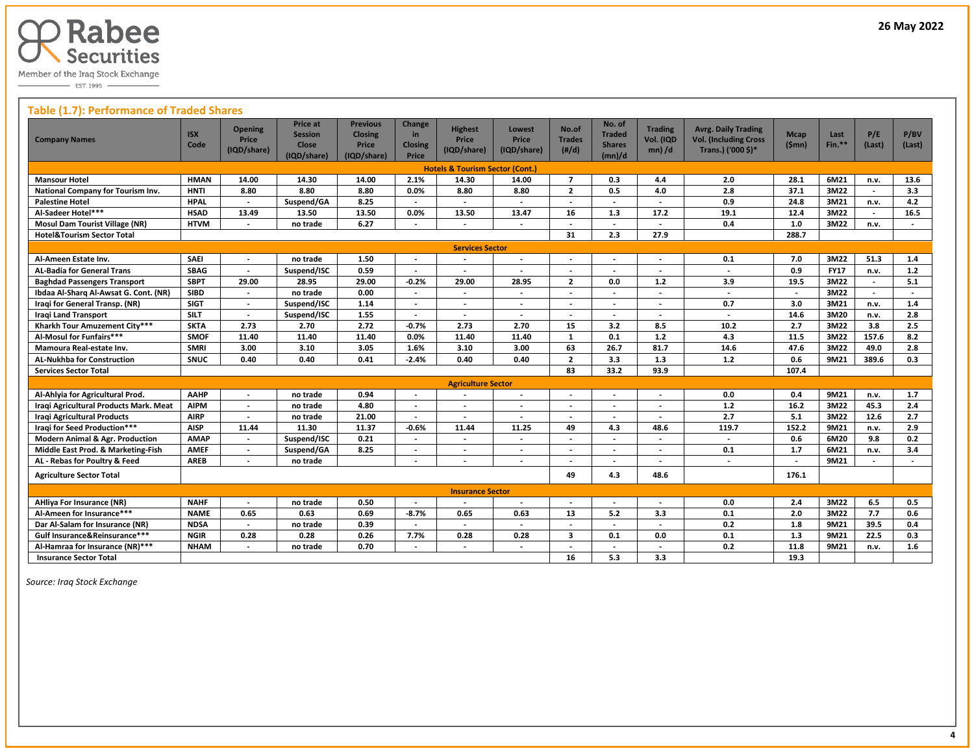

 $\overline{\phantom{0}}$  EST. 1995

## **Table (1.7): Performance of Traded Shares**

| <b>Company Names</b>                       | <b>ISX</b><br>Code | <b>Opening</b><br><b>Price</b><br>(IQD/share) | Price at<br><b>Session</b><br>Close<br>(IQD/share) | <b>Previous</b><br><b>Closing</b><br>Price<br>(IQD/share) | Change<br>in<br><b>Closing</b><br>Price | <b>Highest</b><br>Price<br>(IQD/share)     | <b>Lowest</b><br><b>Price</b><br>(IQD/share) | No.of<br><b>Trades</b><br>$(\#/d)$ | No. of<br><b>Traded</b><br><b>Shares</b><br>(mn)/d | <b>Trading</b><br>Vol. (IQD<br>$mn)$ /d | <b>Avrg. Daily Trading</b><br><b>Vol. (Including Cross</b><br>Trans.) ('000 \$)* | <b>Mcap</b><br>(Smn)     | Last<br>$Fin.**$ | P/E<br>(Last)            | P/BV<br>(Last)           |
|--------------------------------------------|--------------------|-----------------------------------------------|----------------------------------------------------|-----------------------------------------------------------|-----------------------------------------|--------------------------------------------|----------------------------------------------|------------------------------------|----------------------------------------------------|-----------------------------------------|----------------------------------------------------------------------------------|--------------------------|------------------|--------------------------|--------------------------|
|                                            |                    |                                               |                                                    |                                                           |                                         | <b>Hotels &amp; Tourism Sector (Cont.)</b> |                                              |                                    |                                                    |                                         |                                                                                  |                          |                  |                          |                          |
| <b>Mansour Hotel</b>                       | <b>HMAN</b>        | 14.00                                         | 14.30                                              | 14.00                                                     | 2.1%                                    | 14.30                                      | 14.00                                        | $\overline{7}$                     | 0.3                                                | 4.4                                     | 2.0                                                                              | 28.1                     | 6M21             | n.v.                     | 13.6                     |
| National Company for Tourism Inv.          | <b>HNTI</b>        | 8.80                                          | 8.80                                               | 8.80                                                      | 0.0%                                    | 8.80                                       | 8.80                                         | $\overline{2}$                     | 0.5                                                | 4.0                                     | 2.8                                                                              | 37.1                     | 3M22             | $\overline{\phantom{a}}$ | 3.3                      |
| <b>Palestine Hotel</b>                     | <b>HPAL</b>        | $\blacksquare$                                | Suspend/GA                                         | 8.25                                                      | $\overline{\phantom{a}}$                | $\overline{\phantom{a}}$                   | $\overline{\phantom{a}}$                     | $\overline{\phantom{a}}$           | $\overline{\phantom{a}}$                           | $\overline{\phantom{a}}$                | 0.9                                                                              | 24.8                     | 3M21             | n.v.                     | 4.2                      |
| Al-Sadeer Hotel***                         | <b>HSAD</b>        | 13.49                                         | 13.50                                              | 13.50                                                     | 0.0%                                    | 13.50                                      | 13.47                                        | 16                                 | 1.3                                                | 17.2                                    | 19.1                                                                             | 12.4                     | 3M22             |                          | 16.5                     |
| <b>Mosul Dam Tourist Village (NR)</b>      | <b>HTVM</b>        |                                               | no trade                                           | 6.27                                                      |                                         |                                            |                                              |                                    | $\overline{\phantom{a}}$                           |                                         | 0.4                                                                              | 1.0                      | 3M22             | n.v.                     |                          |
| <b>Hotel&amp;Tourism Sector Total</b>      |                    |                                               |                                                    |                                                           |                                         |                                            |                                              | 31                                 | 2.3                                                | 27.9                                    |                                                                                  | 288.7                    |                  |                          |                          |
|                                            |                    |                                               |                                                    |                                                           |                                         | <b>Services Sector</b>                     |                                              |                                    |                                                    |                                         |                                                                                  |                          |                  |                          |                          |
| Al-Ameen Estate Inv.                       | <b>SAEI</b>        | $\overline{\phantom{a}}$                      | no trade                                           | 1.50                                                      | $\overline{\phantom{a}}$                | $\overline{\phantom{a}}$                   | $\overline{\phantom{a}}$                     | $\overline{\phantom{a}}$           | $\overline{\phantom{a}}$                           | $\overline{\phantom{a}}$                | 0.1                                                                              | 7.0                      | 3M22             | 51.3                     | 1.4                      |
| <b>AL-Badia for General Trans</b>          | <b>SBAG</b>        | $\overline{a}$                                | Suspend/ISC                                        | 0.59                                                      | $\overline{\phantom{a}}$                |                                            |                                              |                                    |                                                    |                                         | $\overline{a}$                                                                   | 0.9                      | <b>FY17</b>      | n.v.                     | $1.2$                    |
| <b>Baghdad Passengers Transport</b>        | <b>SBPT</b>        | 29.00                                         | 28.95                                              | 29.00                                                     | $-0.2%$                                 | 29.00                                      | 28.95                                        | $\overline{2}$                     | 0.0                                                | 1.2                                     | 3.9                                                                              | 19.5                     | 3M22             |                          | 5.1                      |
| Ibdaa Al-Sharq Al-Awsat G. Cont. (NR)      | <b>SIBD</b>        | $\overline{a}$                                | no trade                                           | 0.00                                                      | $\overline{\phantom{a}}$                | $\overline{\phantom{a}}$                   | $\overline{\phantom{a}}$                     | $\overline{\phantom{a}}$           | $\overline{\phantom{a}}$                           | $\overline{\phantom{a}}$                | $\overline{a}$                                                                   | $\overline{a}$           | 3M22             | $\overline{\phantom{a}}$ | $\overline{\phantom{a}}$ |
| Iragi for General Transp. (NR)             | <b>SIGT</b>        | $\overline{\phantom{a}}$                      | Suspend/ISC                                        | 1.14                                                      | $\blacksquare$                          | $\overline{\phantom{a}}$                   | $\overline{\phantom{a}}$                     | $\overline{\phantom{a}}$           | $\overline{\phantom{a}}$                           | $\overline{\phantom{a}}$                | 0.7                                                                              | 3.0                      | 3M21             | n.v.                     | 1.4                      |
| <b>Iragi Land Transport</b>                | <b>SILT</b>        | $\blacksquare$                                | Suspend/ISC                                        | 1.55                                                      |                                         |                                            |                                              | $\overline{\phantom{a}}$           |                                                    |                                         | $\overline{\phantom{a}}$                                                         | 14.6                     | 3M20             | n.v.                     | 2.8                      |
| Kharkh Tour Amuzement City***              | <b>SKTA</b>        | 2.73                                          | 2.70                                               | 2.72                                                      | $-0.7%$                                 | 2.73                                       | 2.70                                         | 15                                 | 3.2                                                | 8.5                                     | 10.2                                                                             | 2.7                      | 3M22             | 3.8                      | 2.5                      |
| Al-Mosul for Funfairs***                   | <b>SMOF</b>        | 11.40                                         | 11.40                                              | 11.40                                                     | 0.0%                                    | 11.40                                      | 11.40                                        | $\mathbf{1}$                       | 0.1                                                | 1.2                                     | 4.3                                                                              | 11.5                     | 3M22             | 157.6                    | 8.2                      |
| Mamoura Real-estate Inv.                   | <b>SMRI</b>        | 3.00                                          | 3.10                                               | 3.05                                                      | 1.6%                                    | 3.10                                       | 3.00                                         | 63                                 | 26.7                                               | 81.7                                    | 14.6                                                                             | 47.6                     | 3M22             | 49.0                     | 2.8                      |
| <b>AL-Nukhba for Construction</b>          | SNUC               | 0.40                                          | 0.40                                               | 0.41                                                      | $-2.4%$                                 | 0.40                                       | 0.40                                         | $\overline{2}$                     | 3.3                                                | 1.3                                     | 1.2                                                                              | 0.6                      | 9M21             | 389.6                    | 0.3                      |
| <b>Services Sector Total</b>               |                    |                                               |                                                    |                                                           |                                         |                                            |                                              | 83                                 | 33.2                                               | 93.9                                    |                                                                                  | 107.4                    |                  |                          |                          |
|                                            |                    |                                               |                                                    |                                                           |                                         | <b>Agriculture Sector</b>                  |                                              |                                    |                                                    |                                         |                                                                                  |                          |                  |                          |                          |
| Al-Ahlyia for Agricultural Prod.           | AAHP               | $\overline{\phantom{a}}$                      | no trade                                           | 0.94                                                      |                                         |                                            | $\overline{\phantom{a}}$                     | $\overline{\phantom{a}}$           |                                                    |                                         | 0.0                                                                              | 0.4                      | 9M21             | n.v.                     | 1.7                      |
| Iraqi Agricultural Products Mark. Meat     | <b>AIPM</b>        | $\overline{\phantom{a}}$                      | no trade                                           | 4.80                                                      |                                         | $\overline{\phantom{a}}$                   | $\overline{\phantom{a}}$                     |                                    |                                                    |                                         | 1.2                                                                              | 16.2                     | 3M22             | 45.3                     | 2.4                      |
| <b>Iragi Agricultural Products</b>         | <b>AIRP</b>        | $\overline{a}$                                | no trade                                           | 21.00                                                     |                                         |                                            |                                              | $\overline{\phantom{a}}$           |                                                    |                                         | $\overline{2.7}$                                                                 | 5.1                      | 3M22             | 12.6                     | 2.7                      |
| Iraqi for Seed Production***               | <b>AISP</b>        | 11.44                                         | 11.30                                              | 11.37                                                     | $-0.6%$                                 | 11.44                                      | 11.25                                        | 49                                 | 4.3                                                | 48.6                                    | 119.7                                                                            | 152.2                    | 9M21             | n.v.                     | 2.9                      |
| <b>Modern Animal &amp; Agr. Production</b> | <b>AMAP</b>        |                                               | Suspend/ISC                                        | 0.21                                                      |                                         |                                            |                                              |                                    |                                                    |                                         |                                                                                  | 0.6                      | 6M20             | 9.8                      | 0.2                      |
| Middle East Prod. & Marketing-Fish         | <b>AMEF</b>        |                                               | Suspend/GA                                         | 8.25                                                      |                                         |                                            |                                              |                                    |                                                    |                                         | 0.1                                                                              | 1.7                      | 6M21             | n.v.                     | 3.4                      |
| AL - Rebas for Poultry & Feed              | <b>AREB</b>        | $\overline{\phantom{a}}$                      | no trade                                           |                                                           | $\overline{\phantom{a}}$                |                                            | $\overline{\phantom{a}}$                     |                                    |                                                    |                                         | $\overline{\phantom{a}}$                                                         | $\overline{\phantom{a}}$ | 9M21             |                          |                          |
| <b>Agriculture Sector Total</b>            |                    |                                               |                                                    |                                                           |                                         |                                            |                                              | 49                                 | 4.3                                                | 48.6                                    |                                                                                  | 176.1                    |                  |                          |                          |
|                                            |                    |                                               |                                                    |                                                           |                                         | <b>Insurance Sector</b>                    |                                              |                                    |                                                    |                                         |                                                                                  |                          |                  |                          |                          |
| <b>AHliya For Insurance (NR)</b>           | <b>NAHF</b>        | $\overline{a}$                                | no trade                                           | 0.50                                                      | $\overline{\phantom{a}}$                | $\overline{\phantom{a}}$                   | $\overline{\phantom{a}}$                     | $\overline{\phantom{a}}$           |                                                    |                                         | 0.0                                                                              | 2.4                      | 3M22             | 6.5                      | 0.5                      |
| Al-Ameen for Insurance***                  | <b>NAME</b>        | 0.65                                          | 0.63                                               | 0.69                                                      | $-8.7%$                                 | 0.65                                       | 0.63                                         | 13                                 | 5.2                                                | 3.3                                     | 0.1                                                                              | 2.0                      | 3M22             | 7.7                      | 0.6                      |
| Dar Al-Salam for Insurance (NR)            | <b>NDSA</b>        | $\overline{a}$                                | no trade                                           | 0.39                                                      |                                         |                                            | $\overline{\phantom{a}}$                     | $\overline{\phantom{a}}$           | $\overline{\phantom{a}}$                           | $\overline{\phantom{a}}$                | 0.2                                                                              | 1.8                      | 9M21             | 39.5                     | 0.4                      |
| Gulf Insurance&Reinsurance***              | <b>NGIR</b>        | 0.28                                          | 0.28                                               | 0.26                                                      | 7.7%                                    | 0.28                                       | 0.28                                         | 3                                  | 0.1                                                | 0.0                                     | 0.1                                                                              | 1.3                      | 9M21             | 22.5                     | 0.3                      |
| Al-Hamraa for Insurance (NR)***            | <b>NHAM</b>        |                                               | no trade                                           | 0.70                                                      |                                         |                                            |                                              |                                    |                                                    |                                         | 0.2                                                                              | 11.8                     | 9M21             | n.v.                     | 1.6                      |
| <b>Insurance Sector Total</b>              |                    |                                               |                                                    |                                                           |                                         |                                            |                                              | 16                                 | 5.3                                                | 3.3                                     |                                                                                  | 19.3                     |                  |                          |                          |

 *Source: Iraq Stock Exchange*

 $\overline{a}$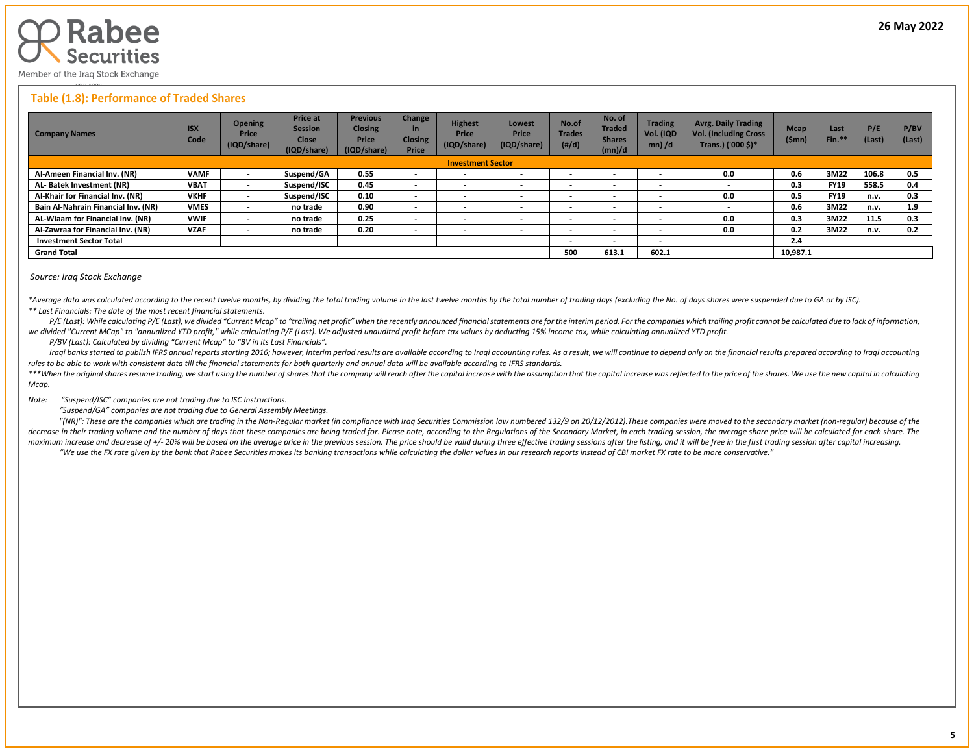

## **Table (1.8): Performance of Traded Shares**

| <b>Company Names</b>                | <b>ISX</b><br>Code | <b>Opening</b><br>Price<br>(IQD/share) | <b>Price at</b><br><b>Session</b><br><b>Close</b><br>(IQD/share) | <b>Previous</b><br><b>Closing</b><br>Price<br>(IQD/share) | Change<br>in<br><b>Closing</b><br>Price | <b>Highest</b><br>Price<br>(IQD/share) | Lowest<br>Price<br>(IQD/share) | No.of<br><b>Trades</b><br>(H/d) | No. of<br><b>Traded</b><br><b>Shares</b><br>(mn)/d | <b>Trading</b><br>Vol. (IQD<br>$mn)$ /d | <b>Avrg. Daily Trading</b><br><b>Vol. (Including Cross</b><br>Trans.) ('000 \$)* | <b>Mcap</b><br>(\$mn) | Last<br>Fin. <sup>*</sup> | P/E<br>(Last) | P/BV<br>(Last) |
|-------------------------------------|--------------------|----------------------------------------|------------------------------------------------------------------|-----------------------------------------------------------|-----------------------------------------|----------------------------------------|--------------------------------|---------------------------------|----------------------------------------------------|-----------------------------------------|----------------------------------------------------------------------------------|-----------------------|---------------------------|---------------|----------------|
| <b>Investment Sector</b>            |                    |                                        |                                                                  |                                                           |                                         |                                        |                                |                                 |                                                    |                                         |                                                                                  |                       |                           |               |                |
| Al-Ameen Financial Inv. (NR)        | <b>VAMF</b>        |                                        | Suspend/GA                                                       | 0.55                                                      | $\sim$                                  | $\overline{\phantom{a}}$               |                                |                                 | $\overline{\phantom{a}}$                           | $\overline{\phantom{0}}$                | 0.0                                                                              | 0.6                   | 3M22                      | 106.8         | 0.5            |
| AL-Batek Investment (NR)            | <b>VBAT</b>        | $\,$                                   | Suspend/ISC                                                      | 0.45                                                      | $\sim$                                  | $\overline{\phantom{a}}$               | <b>.</b>                       |                                 | $\overline{\phantom{0}}$                           | $\overline{\phantom{0}}$                |                                                                                  | 0.3                   | <b>FY19</b>               | 558.5         | 0.4            |
| Al-Khair for Financial Inv. (NR)    | <b>VKHF</b>        | $\overline{\phantom{a}}$               | Suspend/ISC                                                      | 0.10                                                      | $\overline{\phantom{a}}$                | $\overline{\phantom{a}}$               |                                | $\overline{\phantom{a}}$        | $\overline{\phantom{a}}$                           | $\overline{\phantom{0}}$                | 0.0                                                                              | 0.5                   | <b>FY19</b>               | n.v.          | 0.3            |
| Bain Al-Nahrain Financial Inv. (NR) | <b>VMES</b>        |                                        | no trade                                                         | 0.90                                                      | $\sim$                                  | $\overline{\phantom{a}}$               | $\overline{\phantom{a}}$       | $\overline{\phantom{a}}$        | $\overline{\phantom{a}}$                           | $\overline{\phantom{a}}$                |                                                                                  | 0.6                   | 3M22                      | n.v.          | 1.9            |
| AL-Wiaam for Financial Inv. (NR)    | <b>VWIF</b>        | $\,$                                   | no trade                                                         | 0.25                                                      | $\sim$                                  | $\overline{\phantom{a}}$               |                                |                                 | $\overline{\phantom{a}}$                           | $\overline{\phantom{0}}$                | 0.0                                                                              | 0.3                   | 3M22                      | 11.5          | 0.3            |
| Al-Zawraa for Financial Inv. (NR)   | <b>VZAF</b>        | $\,$                                   | no trade                                                         | 0.20                                                      | $\overline{\phantom{0}}$                | $\overline{\phantom{a}}$               |                                |                                 | $\overline{\phantom{a}}$                           | $\overline{\phantom{0}}$                | 0.0                                                                              | 0.2                   | 3M22                      | n.v.          | 0.2            |
| <b>Investment Sector Total</b>      |                    |                                        |                                                                  |                                                           |                                         |                                        |                                | $\overline{\phantom{a}}$        | $\overline{\phantom{0}}$                           | $\overline{\phantom{0}}$                |                                                                                  | 2.4                   |                           |               |                |
| <b>Grand Total</b>                  |                    |                                        |                                                                  |                                                           |                                         |                                        |                                | 500                             | 613.1                                              | 602.1                                   |                                                                                  | 10,987.1              |                           |               |                |

#### *Source: Iraq Stock Exchange*

\*Average data was calculated according to the recent twelve months, by dividing the total trading volume in the last twelve months by the total number of trading days (excluding the No. of days shares were suspended due to *\*\* Last Financials: The date of the most recent financial statements.* 

P/E (Last): While calculating P/E (Last), we divided "Current Mcap" to "trailing net profit" when the recently announced financial statements are for the interim period. For the companies which trailing profit cannot be ca *we divided "Current MCap" to "annualized YTD profit," while calculating P/E (Last). We adjusted unaudited profit before tax values by deducting 15% income tax, while calculating annualized YTD profit.*

 *P/BV (Last): Calculated by dividing "Current Mcap" to "BV in its Last Financials".*

Iraqi banks started to publish IFRS annual reports starting 2016; however, interim period results are available according to Iraqi accounting rules. As a result, we will continue to depend only on the financial results pre *rules to be able to work with consistent data till the financial statements for both quarterly and annual data will be available according to IFRS standards.* 

\*\*\*When the original shares resume trading, we start using the number of shares that the company will reach after the capital increase with the assumption that the capital increase was reflected to the price of the shares. *Mcap.*

*Note: "Suspend/ISC" companies are not trading due to ISC Instructions.*

 *"Suspend/GA" companies are not trading due to General Assembly Meetings.*

"(NR)": These are the companies which are trading in the Non-Regular market (in compliance with Iraq Securities Commission law numbered 132/9 on 20/12/2012). These companies were moved to the secondary market (non-regular) decrease in their trading volume and the number of days that these companies are being traded for. Please note, according to the Regulations of the Secondary Market, in each trading session, the average share price will be maximum increase and decrease of +/- 20% will be based on the average price in the previous session. The price should be valid during three effective trading sessions after the listing, and it will be free in the first tra "We use the FX rate given by the bank that Rabee Securities makes its banking transactions while calculating the dollar values in our research reports instead of CBI market FX rate to be more conservative."